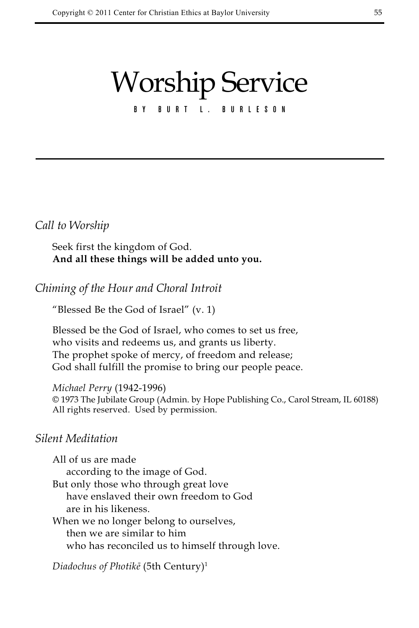# Worship Service

# BURT L. BURLESON

## *Call to Worship*

Seek first the kingdom of God. **And all these things will be added unto you.**

*Chiming of the Hour and Choral Introit* 

"Blessed Be the God of Israel" (v. 1)

Blessed be the God of Israel, who comes to set us free, who visits and redeems us, and grants us liberty. The prophet spoke of mercy, of freedom and release; God shall fulfill the promise to bring our people peace.

*Michael Perry* (1942-1996) © 1973 The Jubilate Group (Admin. by Hope Publishing Co., Carol Stream, IL 60188) All rights reserved. Used by permission.

# *Silent Meditation*

All of us are made according to the image of God. But only those who through great love have enslaved their own freedom to God are in his likeness. When we no longer belong to ourselves, then we are similar to him

who has reconciled us to himself through love.

*Diadochus of Photikē* (5th Century)1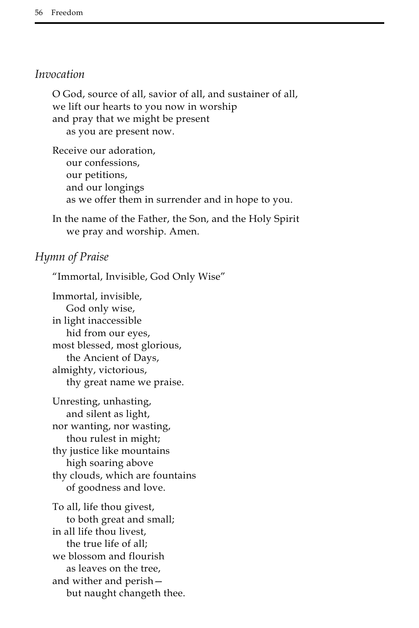#### *Invocation*

O God, source of all, savior of all, and sustainer of all, we lift our hearts to you now in worship and pray that we might be present as you are present now.

Receive our adoration, our confessions, our petitions, and our longings as we offer them in surrender and in hope to you.

In the name of the Father, the Son, and the Holy Spirit we pray and worship. Amen.

## *Hymn of Praise*

"Immortal, Invisible, God Only Wise"

Immortal, invisible, God only wise, in light inaccessible hid from our eyes, most blessed, most glorious, the Ancient of Days, almighty, victorious, thy great name we praise.

Unresting, unhasting, and silent as light, nor wanting, nor wasting, thou rulest in might; thy justice like mountains high soaring above thy clouds, which are fountains of goodness and love.

To all, life thou givest, to both great and small; in all life thou livest, the true life of all; we blossom and flourish as leaves on the tree, and wither and perish but naught changeth thee.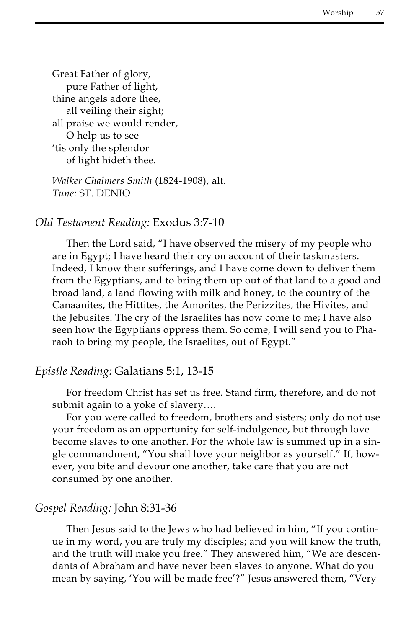Great Father of glory, pure Father of light, thine angels adore thee, all veiling their sight; all praise we would render, O help us to see 'tis only the splendor of light hideth thee.

*Walker Chalmers Smith* (1824-1908), alt. *Tune:* ST. DENIO

#### *Old Testament Reading:* Exodus 3:7-10

Then the Lord said, "I have observed the misery of my people who are in Egypt; I have heard their cry on account of their taskmasters. Indeed, I know their sufferings, and I have come down to deliver them from the Egyptians, and to bring them up out of that land to a good and broad land, a land flowing with milk and honey, to the country of the Canaanites, the Hittites, the Amorites, the Perizzites, the Hivites, and the Jebusites. The cry of the Israelites has now come to me; I have also seen how the Egyptians oppress them. So come, I will send you to Pharaoh to bring my people, the Israelites, out of Egypt."

#### *Epistle Reading:* Galatians 5:1, 13-15

For freedom Christ has set us free. Stand firm, therefore, and do not submit again to a yoke of slavery….

For you were called to freedom, brothers and sisters; only do not use your freedom as an opportunity for self-indulgence, but through love become slaves to one another. For the whole law is summed up in a single commandment, "You shall love your neighbor as yourself." If, however, you bite and devour one another, take care that you are not consumed by one another.

# *Gospel Reading:* John 8:31-36

Then Jesus said to the Jews who had believed in him, "If you continue in my word, you are truly my disciples; and you will know the truth, and the truth will make you free." They answered him, "We are descendants of Abraham and have never been slaves to anyone. What do you mean by saying, 'You will be made free'?" Jesus answered them, "Very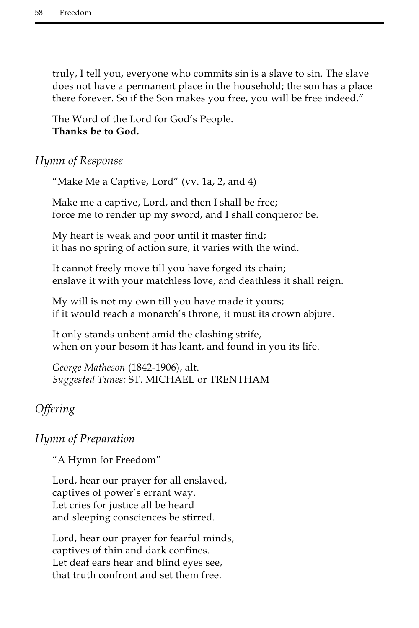truly, I tell you, everyone who commits sin is a slave to sin. The slave does not have a permanent place in the household; the son has a place there forever. So if the Son makes you free, you will be free indeed."

The Word of the Lord for God's People. **Thanks be to God.**

# *Hymn of Response*

"Make Me a Captive, Lord" (vv. 1a, 2, and 4)

Make me a captive, Lord, and then I shall be free; force me to render up my sword, and I shall conqueror be.

My heart is weak and poor until it master find; it has no spring of action sure, it varies with the wind.

It cannot freely move till you have forged its chain; enslave it with your matchless love, and deathless it shall reign.

My will is not my own till you have made it yours; if it would reach a monarch's throne, it must its crown abjure.

It only stands unbent amid the clashing strife, when on your bosom it has leant, and found in you its life.

*George Matheson* (1842-1906), alt. *Suggested Tunes:* ST. MICHAEL or TRENTHAM

# *Offering*

# *Hymn of Preparation*

"A Hymn for Freedom"

Lord, hear our prayer for all enslaved, captives of power's errant way. Let cries for justice all be heard and sleeping consciences be stirred.

Lord, hear our prayer for fearful minds, captives of thin and dark confines. Let deaf ears hear and blind eyes see, that truth confront and set them free.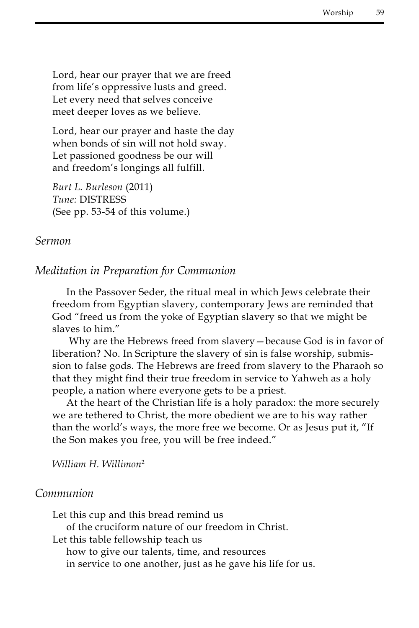Lord, hear our prayer that we are freed from life's oppressive lusts and greed. Let every need that selves conceive meet deeper loves as we believe.

Lord, hear our prayer and haste the day when bonds of sin will not hold sway. Let passioned goodness be our will and freedom's longings all fulfill.

*Burt L. Burleson* (2011) *Tune:* DISTRESS (See pp. 53-54 of this volume.)

#### *Sermon*

#### *Meditation in Preparation for Communion*

In the Passover Seder, the ritual meal in which Jews celebrate their freedom from Egyptian slavery, contemporary Jews are reminded that God "freed us from the yoke of Egyptian slavery so that we might be slaves to him."

 Why are the Hebrews freed from slavery—because God is in favor of liberation? No. In Scripture the slavery of sin is false worship, submission to false gods. The Hebrews are freed from slavery to the Pharaoh so that they might find their true freedom in service to Yahweh as a holy people, a nation where everyone gets to be a priest.

At the heart of the Christian life is a holy paradox: the more securely we are tethered to Christ, the more obedient we are to his way rather than the world's ways, the more free we become. Or as Jesus put it, "If the Son makes you free, you will be free indeed."

*William H. Willimon*<sup>2</sup>

#### *Communion*

Let this cup and this bread remind us

of the cruciform nature of our freedom in Christ.

Let this table fellowship teach us

how to give our talents, time, and resources

in service to one another, just as he gave his life for us.